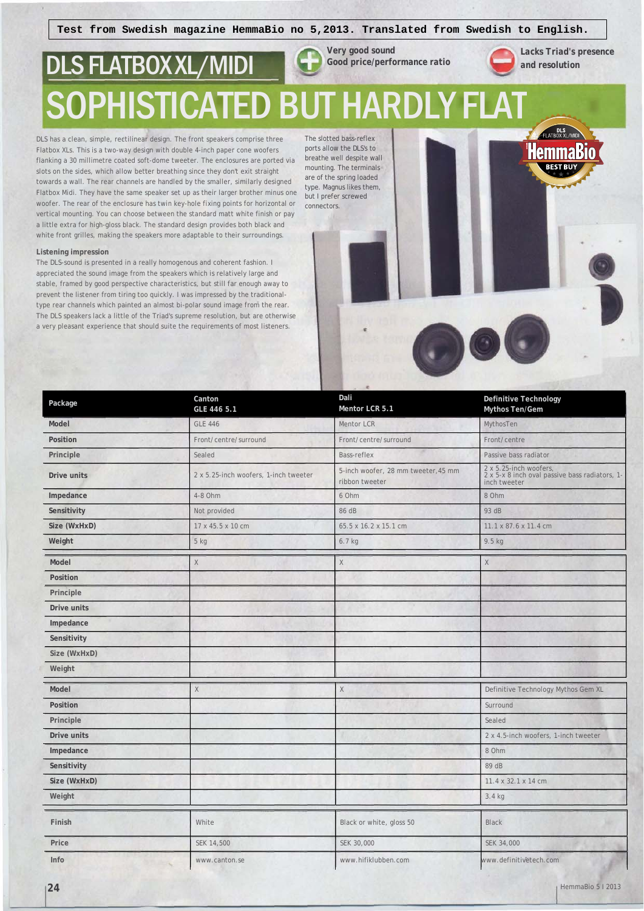## *Very good sound Good price/performance ratio Lacks Triad's presence*  DLS FLATBOX XL/MIDI **b** Good price/performance ratio SOPHISTICATED BUT HAR

DLS has a clean, simple, rectilinear design. The front speakers comprise three Flatbox XLs. This is a two-way design with double 4-inch paper cone woofers flanking a 30 millimetre coated soft-dome tweeter. The enclosures are ported via slots on the sides, which allow better breathing since they don't exit straight towards a wall. The rear channels are handled by the smaller, similarly designed Flatbox Midi. They have the same speaker set up as their larger brother minus one woofer. The rear of the enclosure has twin key-hole fixing points for horizontal or vertical mounting. You can choose between the standard matt white finish or pay a little extra for high-gloss black. The standard design provides both black and white front grilles, making the speakers more adaptable to their surroundings.

## **Listening impression**

The DLS-sound is presented in a really homogenous and coherent fashion. I appreciated the sound image from the speakers which is relatively large and stable, framed by good perspective characteristics, but still far enough away to prevent the listener from tiring too quickly. I was impressed by the traditionaltype rear channels which painted an almost bi-polar sound image from the rear. The DLS speakers lack a little of the Triad's supreme resolution, but are otherwise a very pleasant experience that should suite the requirements of most listeners.

The slotted bass-reflex ports allow the DLS's to breathe well despite wall mounting. The terminals are of the spring loaded type. Magnus likes them, but I prefer screwed connectors.



**DLS**<br>FLATBOX XL/MID